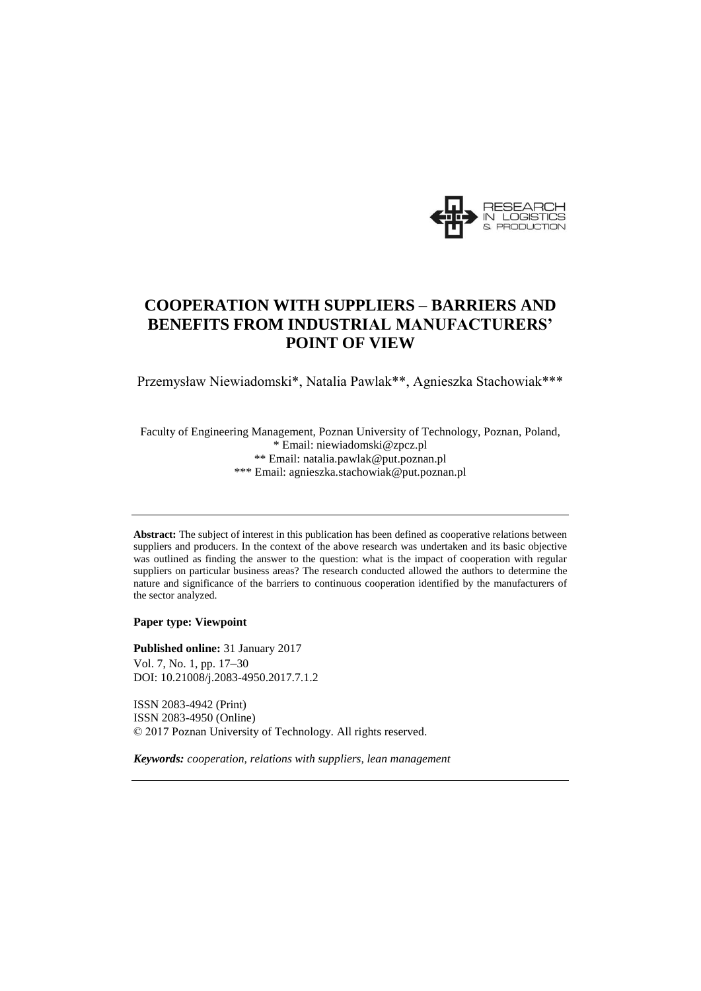

# **COOPERATION WITH SUPPLIERS – BARRIERS AND BENEFITS FROM INDUSTRIAL MANUFACTURERS' POINT OF VIEW**

Przemysław Niewiadomski\*, Natalia Pawlak\*\*, Agnieszka Stachowiak\*\*\*

Faculty of Engineering Management, Poznan University of Technology, Poznan, Poland, \* Email: niewiadomski@zpcz.pl \*\* Email: natalia.pawlak@put.poznan.pl \*\*\* Email: agnieszka.stachowiak@put.poznan.pl

**Abstract:** The subject of interest in this publication has been defined as cooperative relations between suppliers and producers. In the context of the above research was undertaken and its basic objective was outlined as finding the answer to the question: what is the impact of cooperation with regular suppliers on particular business areas? The research conducted allowed the authors to determine the nature and significance of the barriers to continuous cooperation identified by the manufacturers of the sector analyzed.

**Paper type: Viewpoint** 

**Published online:** 31 January 2017 Vol. 7, No. 1, pp. 17–30 DOI: 10.21008/j.2083-4950.2017.7.1.2

ISSN 2083-4942 (Print) ISSN 2083-4950 (Online) © 2017 Poznan University of Technology. All rights reserved.

*Keywords: cooperation, relations with suppliers, lean management*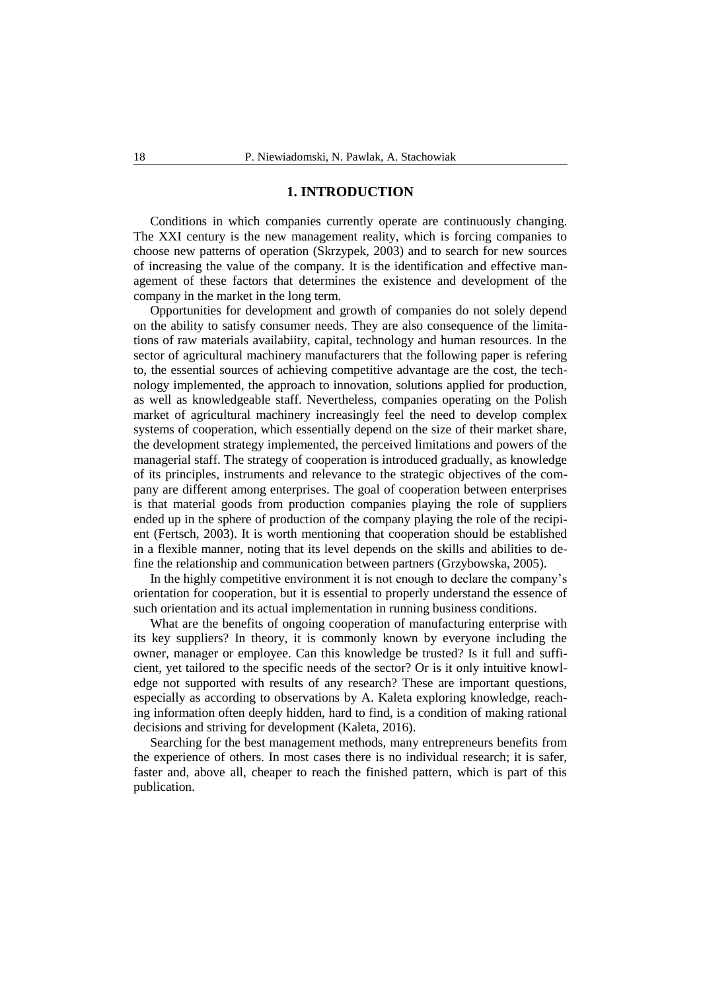#### **1. INTRODUCTION**

Conditions in which companies currently operate are continuously changing. The XXI century is the new management reality, which is forcing companies to choose new patterns of operation (Skrzypek, 2003) and to search for new sources of increasing the value of the company. It is the identification and effective management of these factors that determines the existence and development of the company in the market in the long term.

Opportunities for development and growth of companies do not solely depend on the ability to satisfy consumer needs. They are also consequence of the limitations of raw materials availabiity, capital, technology and human resources. In the sector of agricultural machinery manufacturers that the following paper is refering to, the essential sources of achieving competitive advantage are the cost, the technology implemented, the approach to innovation, solutions applied for production, as well as knowledgeable staff. Nevertheless, companies operating on the Polish market of agricultural machinery increasingly feel the need to develop complex systems of cooperation, which essentially depend on the size of their market share, the development strategy implemented, the perceived limitations and powers of the managerial staff. The strategy of cooperation is introduced gradually, as knowledge of its principles, instruments and relevance to the strategic objectives of the company are different among enterprises. The goal of cooperation between enterprises is that material goods from production companies playing the role of suppliers ended up in the sphere of production of the company playing the role of the recipient (Fertsch, 2003). It is worth mentioning that cooperation should be established in a flexible manner, noting that its level depends on the skills and abilities to define the relationship and communication between partners (Grzybowska, 2005).

In the highly competitive environment it is not enough to declare the company's orientation for cooperation, but it is essential to properly understand the essence of such orientation and its actual implementation in running business conditions.

What are the benefits of ongoing cooperation of manufacturing enterprise with its key suppliers? In theory, it is commonly known by everyone including the owner, manager or employee. Can this knowledge be trusted? Is it full and sufficient, yet tailored to the specific needs of the sector? Or is it only intuitive knowledge not supported with results of any research? These are important questions, especially as according to observations by A. Kaleta exploring knowledge, reaching information often deeply hidden, hard to find, is a condition of making rational decisions and striving for development (Kaleta, 2016).

Searching for the best management methods, many entrepreneurs benefits from the experience of others. In most cases there is no individual research; it is safer, faster and, above all, cheaper to reach the finished pattern, which is part of this publication.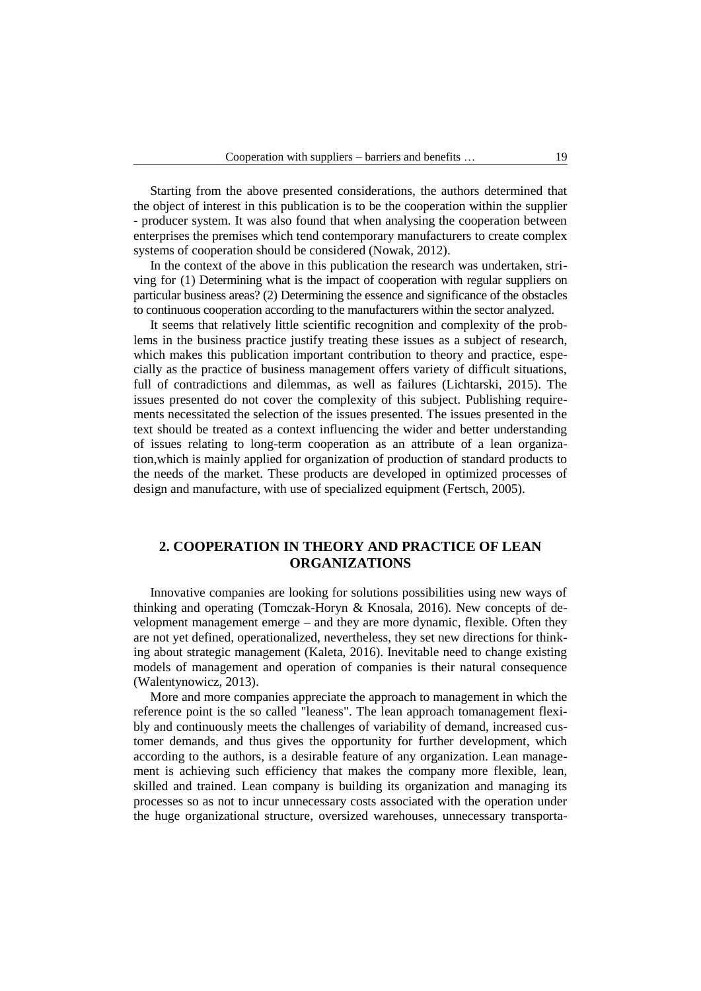Starting from the above presented considerations, the authors determined that the object of interest in this publication is to be the cooperation within the supplier - producer system. It was also found that when analysing the cooperation between enterprises the premises which tend contemporary manufacturers to create complex systems of cooperation should be considered (Nowak, 2012).

In the context of the above in this publication the research was undertaken, striving for (1) Determining what is the impact of cooperation with regular suppliers on particular business areas? (2) Determining the essence and significance of the obstacles to continuous cooperation according to the manufacturers within the sector analyzed.

It seems that relatively little scientific recognition and complexity of the problems in the business practice justify treating these issues as a subject of research, which makes this publication important contribution to theory and practice, especially as the practice of business management offers variety of difficult situations, full of contradictions and dilemmas, as well as failures (Lichtarski, 2015). The issues presented do not cover the complexity of this subject. Publishing requirements necessitated the selection of the issues presented. The issues presented in the text should be treated as a context influencing the wider and better understanding of issues relating to long-term cooperation as an attribute of a lean organization,which is mainly applied for organization of production of standard products to the needs of the market. These products are developed in optimized processes of design and manufacture, with use of specialized equipment (Fertsch, 2005).

## **2. COOPERATION IN THEORY AND PRACTICE OF LEAN ORGANIZATIONS**

Innovative companies are looking for solutions possibilities using new ways of thinking and operating (Tomczak-Horyn & Knosala, 2016). New concepts of development management emerge – and they are more dynamic, flexible. Often they are not yet defined, operationalized, nevertheless, they set new directions for thinking about strategic management (Kaleta, 2016). Inevitable need to change existing models of management and operation of companies is their natural consequence (Walentynowicz, 2013).

More and more companies appreciate the approach to management in which the reference point is the so called "leaness". The lean approach tomanagement flexibly and continuously meets the challenges of variability of demand, increased customer demands, and thus gives the opportunity for further development, which according to the authors, is a desirable feature of any organization. Lean management is achieving such efficiency that makes the company more flexible, lean, skilled and trained. Lean company is building its organization and managing its processes so as not to incur unnecessary costs associated with the operation under the huge organizational structure, oversized warehouses, unnecessary transporta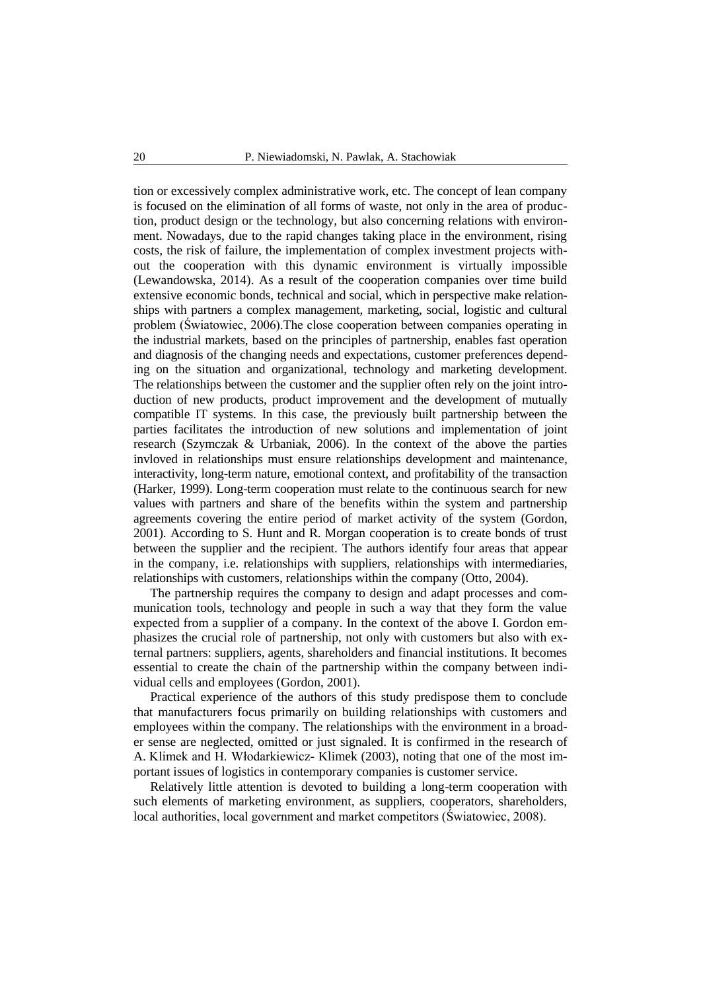tion or excessively complex administrative work, etc. The concept of lean company is focused on the elimination of all forms of waste, not only in the area of production, product design or the technology, but also concerning relations with environment. Nowadays, due to the rapid changes taking place in the environment, rising costs, the risk of failure, the implementation of complex investment projects without the cooperation with this dynamic environment is virtually impossible (Lewandowska, 2014). As a result of the cooperation companies over time build extensive economic bonds, technical and social, which in perspective make relationships with partners a complex management, marketing, social, logistic and cultural problem (Światowiec, 2006).The close cooperation between companies operating in the industrial markets, based on the principles of partnership, enables fast operation and diagnosis of the changing needs and expectations, customer preferences depending on the situation and organizational, technology and marketing development. The relationships between the customer and the supplier often rely on the joint introduction of new products, product improvement and the development of mutually compatible IT systems. In this case, the previously built partnership between the parties facilitates the introduction of new solutions and implementation of joint research (Szymczak & Urbaniak, 2006). In the context of the above the parties invloved in relationships must ensure relationships development and maintenance, interactivity, long-term nature, emotional context, and profitability of the transaction (Harker, 1999). Long-term cooperation must relate to the continuous search for new values with partners and share of the benefits within the system and partnership agreements covering the entire period of market activity of the system (Gordon, 2001). According to S. Hunt and R. Morgan cooperation is to create bonds of trust between the supplier and the recipient. The authors identify four areas that appear in the company, i.e. relationships with suppliers, relationships with intermediaries, relationships with customers, relationships within the company (Otto, 2004).

The partnership requires the company to design and adapt processes and communication tools, technology and people in such a way that they form the value expected from a supplier of a company. In the context of the above I. Gordon emphasizes the crucial role of partnership, not only with customers but also with external partners: suppliers, agents, shareholders and financial institutions. It becomes essential to create the chain of the partnership within the company between individual cells and employees (Gordon, 2001).

Practical experience of the authors of this study predispose them to conclude that manufacturers focus primarily on building relationships with customers and employees within the company. The relationships with the environment in a broader sense are neglected, omitted or just signaled. It is confirmed in the research of A. Klimek and H. Włodarkiewicz- Klimek (2003), noting that one of the most important issues of logistics in contemporary companies is customer service.

Relatively little attention is devoted to building a long-term cooperation with such elements of marketing environment, as suppliers, cooperators, shareholders, local authorities, local government and market competitors (Światowiec, 2008).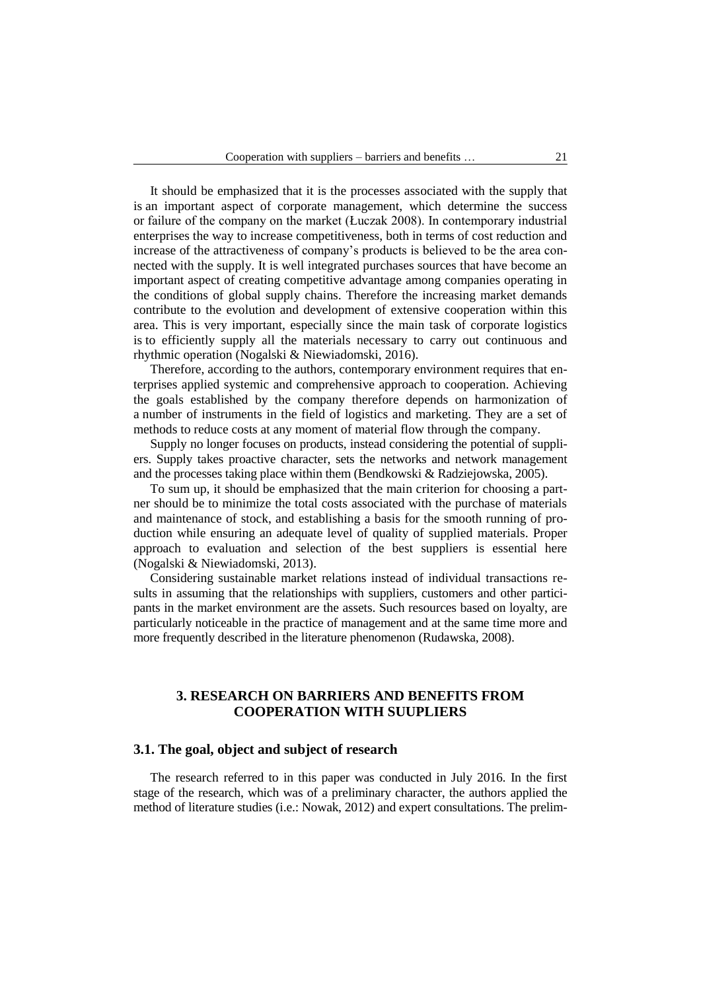It should be emphasized that it is the processes associated with the supply that is an important aspect of corporate management, which determine the success or failure of the company on the market (Łuczak 2008). In contemporary industrial enterprises the way to increase competitiveness, both in terms of cost reduction and increase of the attractiveness of company's products is believed to be the area connected with the supply. It is well integrated purchases sources that have become an important aspect of creating competitive advantage among companies operating in the conditions of global supply chains. Therefore the increasing market demands contribute to the evolution and development of extensive cooperation within this area. This is very important, especially since the main task of corporate logistics is to efficiently supply all the materials necessary to carry out continuous and rhythmic operation (Nogalski & Niewiadomski, 2016).

Therefore, according to the authors, contemporary environment requires that enterprises applied systemic and comprehensive approach to cooperation. Achieving the goals established by the company therefore depends on harmonization of a number of instruments in the field of logistics and marketing. They are a set of methods to reduce costs at any moment of material flow through the company.

Supply no longer focuses on products, instead considering the potential of suppliers. Supply takes proactive character, sets the networks and network management and the processes taking place within them (Bendkowski & Radziejowska, 2005).

To sum up, it should be emphasized that the main criterion for choosing a partner should be to minimize the total costs associated with the purchase of materials and maintenance of stock, and establishing a basis for the smooth running of production while ensuring an adequate level of quality of supplied materials. Proper approach to evaluation and selection of the best suppliers is essential here (Nogalski & Niewiadomski, 2013).

Considering sustainable market relations instead of individual transactions results in assuming that the relationships with suppliers, customers and other participants in the market environment are the assets. Such resources based on loyalty, are particularly noticeable in the practice of management and at the same time more and more frequently described in the literature phenomenon (Rudawska, 2008).

# **3. RESEARCH ON BARRIERS AND BENEFITS FROM COOPERATION WITH SUUPLIERS**

#### **3.1. The goal, object and subject of research**

The research referred to in this paper was conducted in July 2016. In the first stage of the research, which was of a preliminary character, the authors applied the method of literature studies (i.e.: Nowak, 2012) and expert consultations. The prelim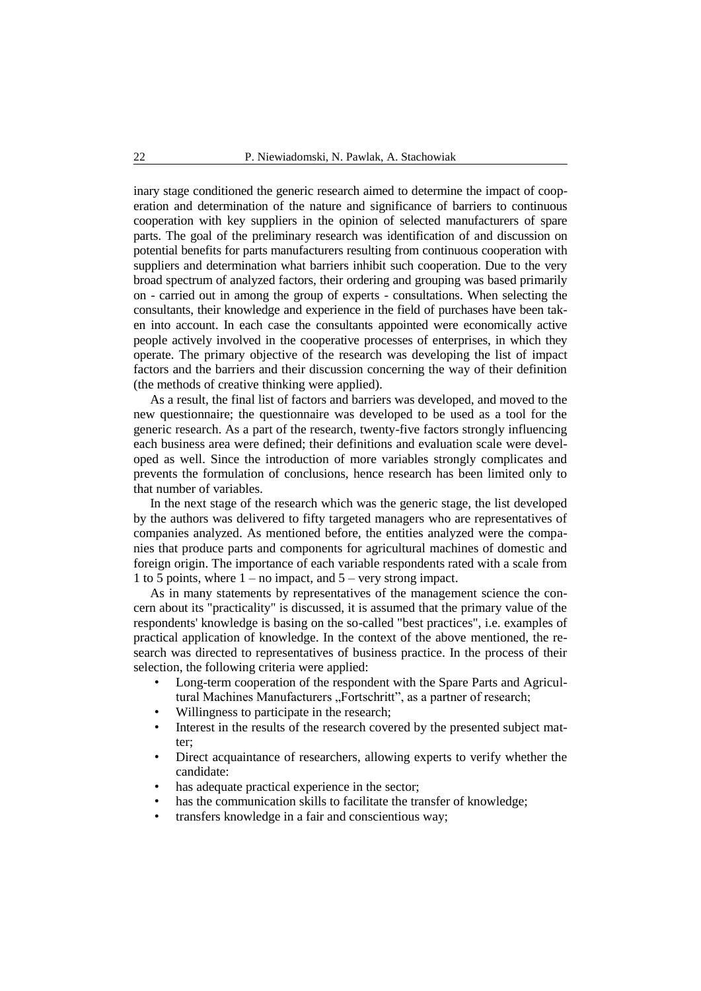inary stage conditioned the generic research aimed to determine the impact of cooperation and determination of the nature and significance of barriers to continuous cooperation with key suppliers in the opinion of selected manufacturers of spare parts. The goal of the preliminary research was identification of and discussion on potential benefits for parts manufacturers resulting from continuous cooperation with suppliers and determination what barriers inhibit such cooperation. Due to the very broad spectrum of analyzed factors, their ordering and grouping was based primarily on - carried out in among the group of experts - consultations. When selecting the consultants, their knowledge and experience in the field of purchases have been taken into account. In each case the consultants appointed were economically active people actively involved in the cooperative processes of enterprises, in which they operate. The primary objective of the research was developing the list of impact factors and the barriers and their discussion concerning the way of their definition (the methods of creative thinking were applied).

As a result, the final list of factors and barriers was developed, and moved to the new questionnaire; the questionnaire was developed to be used as a tool for the generic research. As a part of the research, twenty-five factors strongly influencing each business area were defined; their definitions and evaluation scale were developed as well. Since the introduction of more variables strongly complicates and prevents the formulation of conclusions, hence research has been limited only to that number of variables.

In the next stage of the research which was the generic stage, the list developed by the authors was delivered to fifty targeted managers who are representatives of companies analyzed. As mentioned before, the entities analyzed were the companies that produce parts and components for agricultural machines of domestic and foreign origin. The importance of each variable respondents rated with a scale from 1 to 5 points, where 1 – no impact, and 5 – very strong impact.

As in many statements by representatives of the management science the concern about its "practicality" is discussed, it is assumed that the primary value of the respondents' knowledge is basing on the so-called "best practices", i.e. examples of practical application of knowledge. In the context of the above mentioned, the research was directed to representatives of business practice. In the process of their selection, the following criteria were applied:

- Long-term cooperation of the respondent with the Spare Parts and Agricultural Machines Manufacturers "Fortschritt", as a partner of research;
- Willingness to participate in the research;
- Interest in the results of the research covered by the presented subject matter;
- Direct acquaintance of researchers, allowing experts to verify whether the candidate:
- has adequate practical experience in the sector;
- has the communication skills to facilitate the transfer of knowledge;
- transfers knowledge in a fair and conscientious way;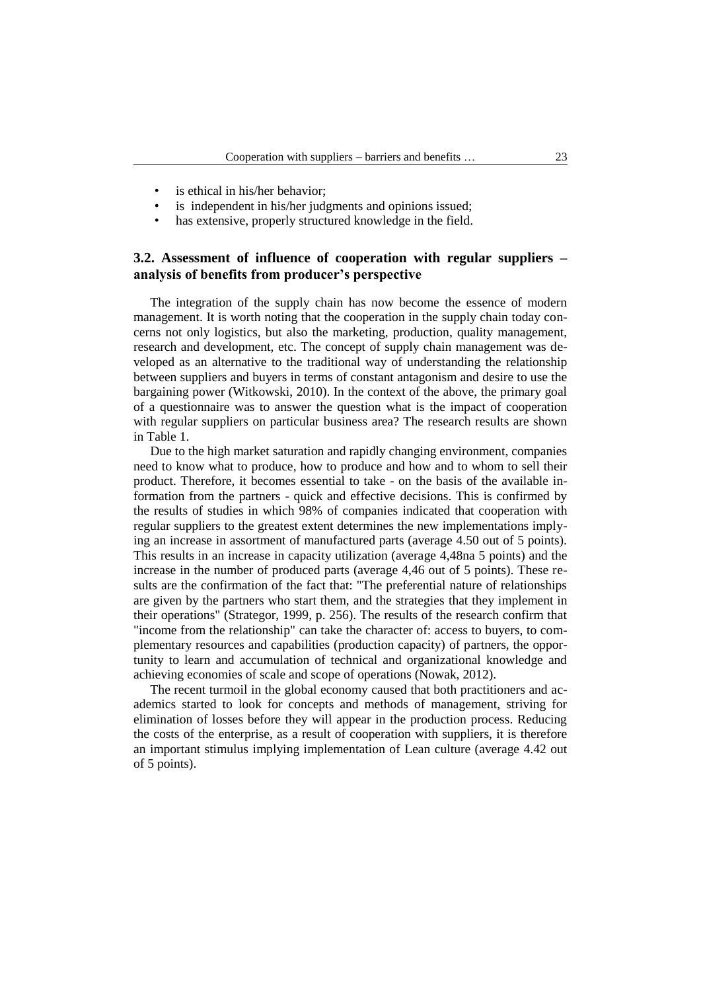- is ethical in his/her behavior:
- is independent in his/her judgments and opinions issued;
- has extensive, properly structured knowledge in the field.

## **3.2. Assessment of influence of cooperation with regular suppliers – analysis of benefits from producer's perspective**

The integration of the supply chain has now become the essence of modern management. It is worth noting that the cooperation in the supply chain today concerns not only logistics, but also the marketing, production, quality management, research and development, etc. The concept of supply chain management was developed as an alternative to the traditional way of understanding the relationship between suppliers and buyers in terms of constant antagonism and desire to use the bargaining power (Witkowski, 2010). In the context of the above, the primary goal of a questionnaire was to answer the question what is the impact of cooperation with regular suppliers on particular business area? The research results are shown in Table 1.

Due to the high market saturation and rapidly changing environment, companies need to know what to produce, how to produce and how and to whom to sell their product. Therefore, it becomes essential to take - on the basis of the available information from the partners - quick and effective decisions. This is confirmed by the results of studies in which 98% of companies indicated that cooperation with regular suppliers to the greatest extent determines the new implementations implying an increase in assortment of manufactured parts (average 4.50 out of 5 points). This results in an increase in capacity utilization (average 4,48na 5 points) and the increase in the number of produced parts (average 4,46 out of 5 points). These results are the confirmation of the fact that: "The preferential nature of relationships are given by the partners who start them, and the strategies that they implement in their operations" (Strategor, 1999, p. 256). The results of the research confirm that "income from the relationship" can take the character of: access to buyers, to complementary resources and capabilities (production capacity) of partners, the opportunity to learn and accumulation of technical and organizational knowledge and achieving economies of scale and scope of operations (Nowak, 2012).

The recent turmoil in the global economy caused that both practitioners and academics started to look for concepts and methods of management, striving for elimination of losses before they will appear in the production process. Reducing the costs of the enterprise, as a result of cooperation with suppliers, it is therefore an important stimulus implying implementation of Lean culture (average 4.42 out of 5 points).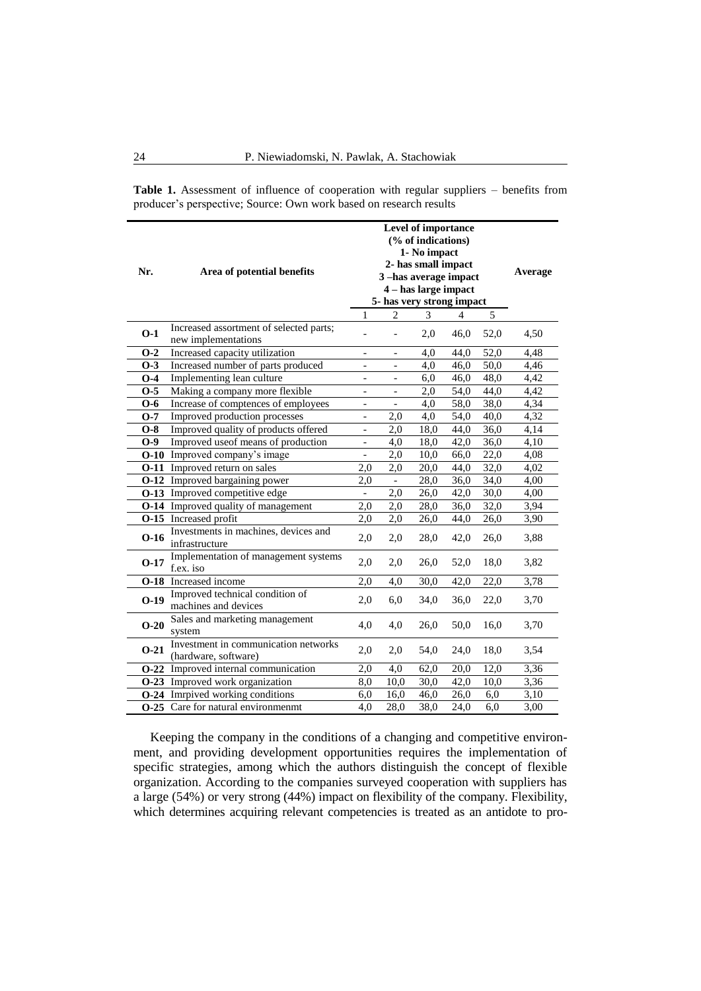| Nr.    | Area of potential benefits                                     | 3-has average impact<br>5- has very strong impact<br>1 | Average                      |      |      |      |      |
|--------|----------------------------------------------------------------|--------------------------------------------------------|------------------------------|------|------|------|------|
|        |                                                                |                                                        | $\mathfrak{D}$               | 3    | 4    | 5    |      |
| $O-1$  | Increased assortment of selected parts;<br>new implementations |                                                        |                              | 2,0  | 46,0 | 52,0 | 4,50 |
| $O-2$  | Increased capacity utilization                                 | $\overline{\phantom{a}}$                               | $\overline{\phantom{a}}$     | 4,0  | 44,0 | 52,0 | 4,48 |
| $O-3$  | Increased number of parts produced                             | $\overline{\phantom{a}}$                               | $\overline{\phantom{a}}$     | 4,0  | 46,0 | 50,0 | 4,46 |
| $O-4$  | Implementing lean culture                                      | $\overline{\phantom{a}}$                               | $\overline{\phantom{a}}$     | 6,0  | 46,0 | 48,0 | 4,42 |
| $0-5$  | Making a company more flexible                                 | $\overline{\phantom{a}}$                               | $\qquad \qquad \blacksquare$ | 2,0  | 54,0 | 44,0 | 4,42 |
| $O-6$  | Increase of comptences of employees                            | $\qquad \qquad -$                                      |                              | 4,0  | 58,0 | 38,0 | 4,34 |
| $O-7$  | Improved production processes                                  | $\overline{\phantom{a}}$                               | 2,0                          | 4,0  | 54,0 | 40,0 | 4,32 |
| $O-8$  | Improved quality of products offered                           | $\blacksquare$                                         | 2,0                          | 18,0 | 44,0 | 36,0 | 4,14 |
| $O-9$  | Improved useof means of production                             | $\blacksquare$                                         | 4,0                          | 18,0 | 42,0 | 36,0 | 4,10 |
|        | <b>O-10</b> Improved company's image                           | $\blacksquare$                                         | 2,0                          | 10,0 | 66,0 | 22,0 | 4,08 |
|        | <b>O-11</b> Improved return on sales                           | 2,0                                                    | 2,0                          | 20,0 | 44,0 | 32,0 | 4,02 |
|        | <b>O-12</b> Improved bargaining power                          | 2,0                                                    | $\Box$                       | 28,0 | 36,0 | 34,0 | 4,00 |
|        | <b>O-13</b> Improved competitive edge                          | $\overline{\phantom{a}}$                               | 2,0                          | 26,0 | 42,0 | 30,0 | 4,00 |
|        | <b>O-14</b> Improved quality of management                     | 2,0                                                    | $2{,}0$                      | 28,0 | 36,0 | 32,0 | 3,94 |
|        | <b>O-15</b> Increased profit                                   | 2,0                                                    | 2,0                          | 26,0 | 44,0 | 26,0 | 3,90 |
| $O-16$ | Investments in machines, devices and<br>infrastructure         | 2,0                                                    | 2,0                          | 28,0 | 42,0 | 26,0 | 3,88 |
| $O-17$ | Implementation of management systems<br>f.ex. iso              | 2,0                                                    | 2,0                          | 26,0 | 52,0 | 18,0 | 3,82 |
|        | <b>O-18</b> Increased income                                   | 2,0                                                    | 4,0                          | 30,0 | 42,0 | 22,0 | 3,78 |
| $O-19$ | Improved technical condition of<br>machines and devices        | 2,0                                                    | 6,0                          | 34,0 | 36,0 | 22,0 | 3,70 |
| $O-20$ | Sales and marketing management<br>system                       | 4,0                                                    | 4,0                          | 26,0 | 50,0 | 16,0 | 3,70 |
| $O-21$ | Investment in communication networks<br>(hardware, software)   | 2,0                                                    | 2,0                          | 54,0 | 24,0 | 18,0 | 3,54 |
|        | O-22 Improved internal communication                           | 2,0                                                    | 4,0                          | 62,0 | 20,0 | 12,0 | 3,36 |
|        | <b>O-23</b> Improved work organization                         | 8,0                                                    | 10,0                         | 30,0 | 42,0 | 10,0 | 3,36 |
|        | <b>O-24</b> Imrpived working conditions                        | 6,0                                                    | 16,0                         | 46,0 | 26,0 | 6,0  | 3,10 |
|        | <b>O-25</b> Care for natural environmenmt                      | 4,0                                                    | 28,0                         | 38,0 | 24,0 | 6,0  | 3,00 |

**Table 1.** Assessment of influence of cooperation with regular suppliers – benefits from producer's perspective; Source: Own work based on research results

Keeping the company in the conditions of a changing and competitive environment, and providing development opportunities requires the implementation of specific strategies, among which the authors distinguish the concept of flexible organization. According to the companies surveyed cooperation with suppliers has a large (54%) or very strong (44%) impact on flexibility of the company. Flexibility, which determines acquiring relevant competencies is treated as an antidote to pro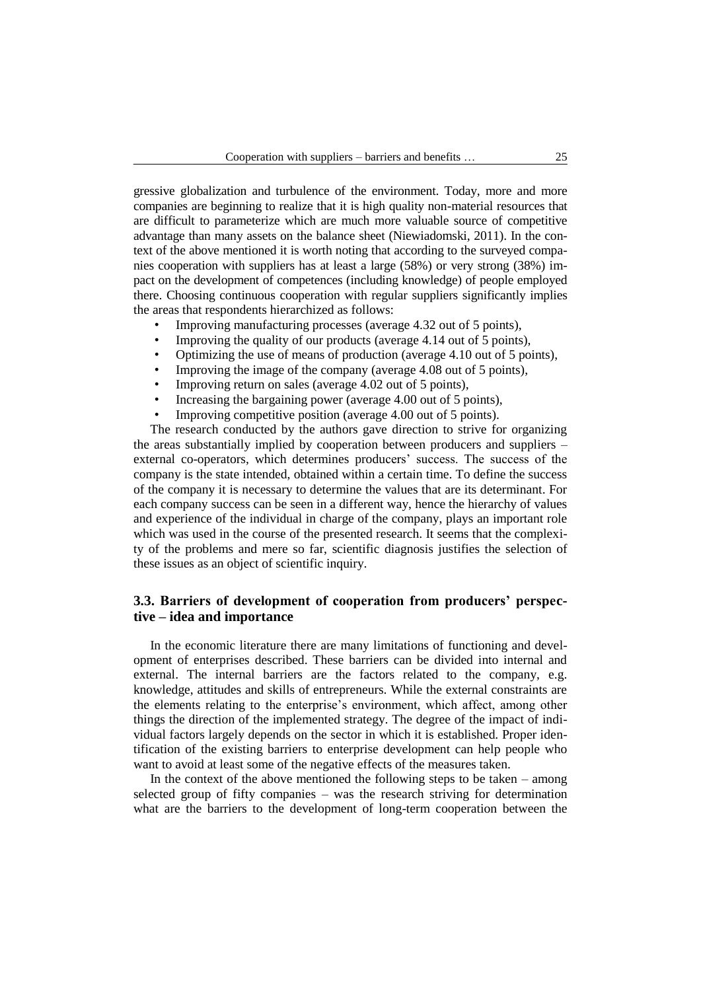gressive globalization and turbulence of the environment. Today, more and more companies are beginning to realize that it is high quality non-material resources that are difficult to parameterize which are much more valuable source of competitive advantage than many assets on the balance sheet (Niewiadomski, 2011). In the context of the above mentioned it is worth noting that according to the surveyed companies cooperation with suppliers has at least a large (58%) or very strong (38%) impact on the development of competences (including knowledge) of people employed there. Choosing continuous cooperation with regular suppliers significantly implies the areas that respondents hierarchized as follows:

- Improving manufacturing processes (average 4.32 out of 5 points),
- Improving the quality of our products (average 4.14 out of 5 points),
- Optimizing the use of means of production (average 4.10 out of 5 points),
- Improving the image of the company (average 4.08 out of 5 points),
- Improving return on sales (average 4.02 out of 5 points),
- Increasing the bargaining power (average 4.00 out of 5 points),
- Improving competitive position (average 4.00 out of 5 points).

The research conducted by the authors gave direction to strive for organizing the areas substantially implied by cooperation between producers and suppliers – external co-operators, which determines producers' success. The success of the company is the state intended, obtained within a certain time. To define the success of the company it is necessary to determine the values that are its determinant. For each company success can be seen in a different way, hence the hierarchy of values and experience of the individual in charge of the company, plays an important role which was used in the course of the presented research. It seems that the complexity of the problems and mere so far, scientific diagnosis justifies the selection of these issues as an object of scientific inquiry.

## **3.3. Barriers of development of cooperation from producers' perspective – idea and importance**

In the economic literature there are many limitations of functioning and development of enterprises described. These barriers can be divided into internal and external. The internal barriers are the factors related to the company, e.g. knowledge, attitudes and skills of entrepreneurs. While the external constraints are the elements relating to the enterprise's environment, which affect, among other things the direction of the implemented strategy. The degree of the impact of individual factors largely depends on the sector in which it is established. Proper identification of the existing barriers to enterprise development can help people who want to avoid at least some of the negative effects of the measures taken.

In the context of the above mentioned the following steps to be taken – among selected group of fifty companies – was the research striving for determination what are the barriers to the development of long-term cooperation between the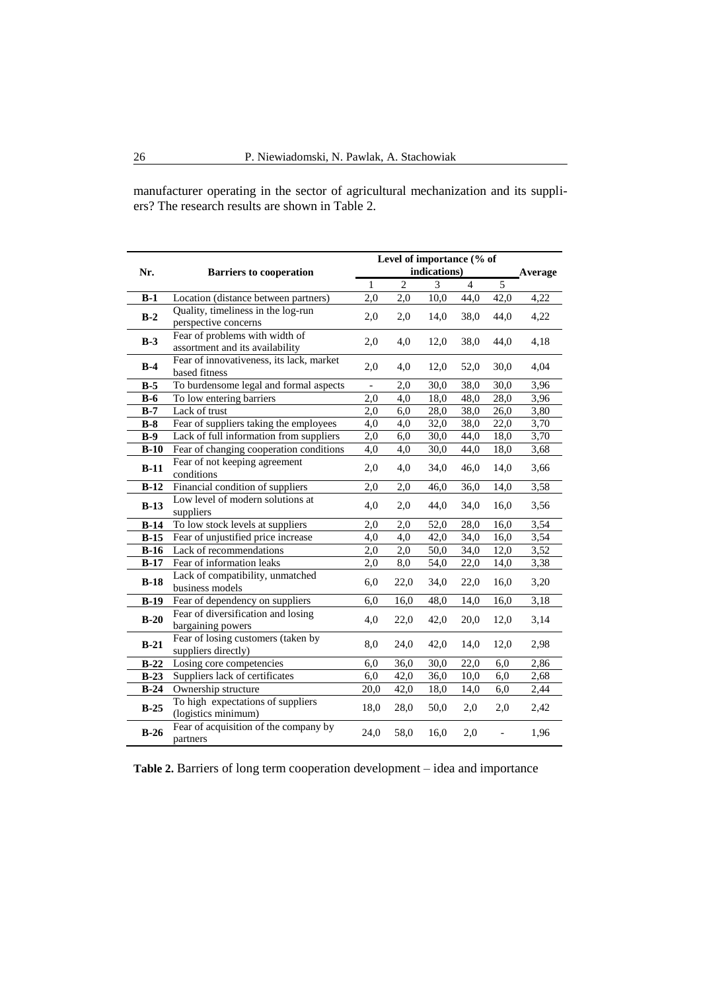manufacturer operating in the sector of agricultural mechanization and its suppliers? The research results are shown in Table 2.

| Nr.    | <b>Barriers to cooperation</b>                                    |              | Level of importance (% of<br>indications) |      |                |                   |         |
|--------|-------------------------------------------------------------------|--------------|-------------------------------------------|------|----------------|-------------------|---------|
|        |                                                                   | $\mathbf{1}$ | $\overline{2}$                            | 3    | $\overline{4}$ | $\overline{5}$    | Average |
| $B-1$  | Location (distance between partners)                              | 2,0          | 2,0                                       | 10,0 | 44,0           | 42,0              | 4,22    |
| $B-2$  | Quality, timeliness in the log-run<br>perspective concerns        | 2,0          | 2,0                                       | 14,0 | 38,0           | 44,0              | 4,22    |
| $B-3$  | Fear of problems with width of<br>assortment and its availability | 2,0          | 4,0                                       | 12,0 | 38,0           | 44,0              | 4,18    |
| $B-4$  | Fear of innovativeness, its lack, market<br>based fitness         | 2,0          | 4,0                                       | 12,0 | 52,0           | 30,0              | 4,04    |
| $B-5$  | To burdensome legal and formal aspects                            |              | 2,0                                       | 30,0 | 38,0           | 30,0              | 3.96    |
| $B-6$  | To low entering barriers                                          | 2,0          | 4,0                                       | 18,0 | 48,0           | 28,0              | 3,96    |
| $B-7$  | Lack of trust                                                     | 2,0          | 6,0                                       | 28,0 | 38,0           | 26,0              | 3,80    |
| $B-8$  | Fear of suppliers taking the employees                            | 4,0          | 4,0                                       | 32,0 | 38,0           | 22,0              | 3,70    |
| $B-9$  | Lack of full information from suppliers                           | 2,0          | 6,0                                       | 30,0 | 44,0           | 18,0              | 3,70    |
| $B-10$ | Fear of changing cooperation conditions                           | 4,0          | 4,0                                       | 30,0 | 44,0           | 18,0              | 3,68    |
| $B-11$ | Fear of not keeping agreement<br>conditions                       | 2,0          | 4,0                                       | 34,0 | 46,0           | 14,0              | 3,66    |
| $B-12$ | Financial condition of suppliers                                  | 2,0          | 2,0                                       | 46,0 | 36,0           | 14,0              | 3,58    |
| $B-13$ | Low level of modern solutions at<br>suppliers                     | 4,0          | 2,0                                       | 44,0 | 34,0           | 16,0              | 3,56    |
| $B-14$ | To low stock levels at suppliers                                  | 2,0          | 2,0                                       | 52,0 | 28,0           | 16,0              | 3,54    |
| $B-15$ | Fear of unjustified price increase                                | 4,0          | 4,0                                       | 42,0 | 34,0           | 16,0              | 3,54    |
| $B-16$ | Lack of recommendations                                           | 2,0          | 2,0                                       | 50,0 | 34,0           | $\overline{12,0}$ | 3,52    |
| $B-17$ | Fear of information leaks                                         | 2,0          | 8,0                                       | 54,0 | 22,0           | 14,0              | 3,38    |
| $B-18$ | Lack of compatibility, unmatched<br>business models               | 6,0          | 22,0                                      | 34,0 | 22,0           | 16,0              | 3,20    |
| $B-19$ | Fear of dependency on suppliers                                   | 6,0          | 16,0                                      | 48,0 | 14,0           | 16,0              | 3,18    |
| $B-20$ | Fear of diversification and losing<br>bargaining powers           | 4,0          | 22,0                                      | 42,0 | 20,0           | 12,0              | 3,14    |
| $B-21$ | Fear of losing customers (taken by<br>suppliers directly)         | 8,0          | 24,0                                      | 42,0 | 14,0           | 12,0              | 2,98    |
| $B-22$ | Losing core competencies                                          | 6,0          | 36,0                                      | 30,0 | 22,0           | 6,0               | 2,86    |
| $B-23$ | Suppliers lack of certificates                                    | 6,0          | 42,0                                      | 36,0 | 10,0           | 6,0               | 2,68    |
| $B-24$ | Ownership structure                                               | 20,0         | 42,0                                      | 18,0 | 14,0           | 6,0               | 2,44    |
| $B-25$ | To high expectations of suppliers<br>(logistics minimum)          | 18,0         | 28,0                                      | 50,0 | 2,0            | 2,0               | 2,42    |
| $B-26$ | Fear of acquisition of the company by<br>partners                 | 24,0         | 58,0                                      | 16,0 | 2,0            |                   | 1,96    |

**Table 2.** Barriers of long term cooperation development – idea and importance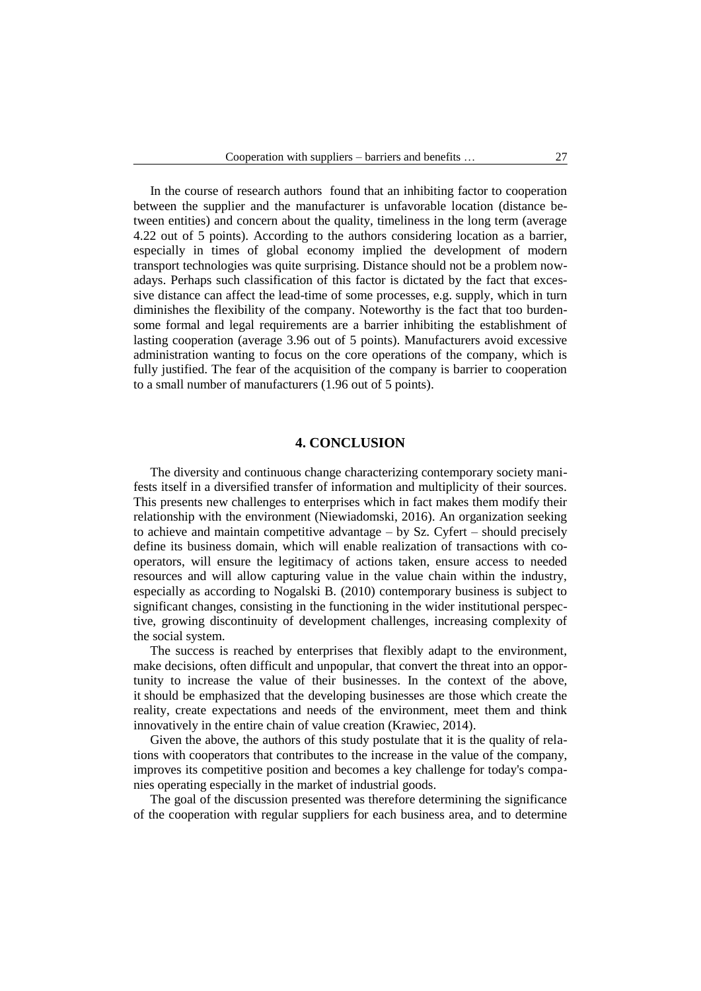In the course of research authors found that an inhibiting factor to cooperation between the supplier and the manufacturer is unfavorable location (distance between entities) and concern about the quality, timeliness in the long term (average 4.22 out of 5 points). According to the authors considering location as a barrier, especially in times of global economy implied the development of modern transport technologies was quite surprising. Distance should not be a problem nowadays. Perhaps such classification of this factor is dictated by the fact that excessive distance can affect the lead-time of some processes, e.g. supply, which in turn diminishes the flexibility of the company. Noteworthy is the fact that too burdensome formal and legal requirements are a barrier inhibiting the establishment of lasting cooperation (average 3.96 out of 5 points). Manufacturers avoid excessive administration wanting to focus on the core operations of the company, which is fully justified. The fear of the acquisition of the company is barrier to cooperation to a small number of manufacturers (1.96 out of 5 points).

#### **4. CONCLUSION**

The diversity and continuous change characterizing contemporary society manifests itself in a diversified transfer of information and multiplicity of their sources. This presents new challenges to enterprises which in fact makes them modify their relationship with the environment (Niewiadomski, 2016). An organization seeking to achieve and maintain competitive advantage – by Sz. Cyfert – should precisely define its business domain, which will enable realization of transactions with cooperators, will ensure the legitimacy of actions taken, ensure access to needed resources and will allow capturing value in the value chain within the industry, especially as according to Nogalski B. (2010) contemporary business is subject to significant changes, consisting in the functioning in the wider institutional perspective, growing discontinuity of development challenges, increasing complexity of the social system.

The success is reached by enterprises that flexibly adapt to the environment, make decisions, often difficult and unpopular, that convert the threat into an opportunity to increase the value of their businesses. In the context of the above, it should be emphasized that the developing businesses are those which create the reality, create expectations and needs of the environment, meet them and think innovatively in the entire chain of value creation (Krawiec, 2014).

Given the above, the authors of this study postulate that it is the quality of relations with cooperators that contributes to the increase in the value of the company, improves its competitive position and becomes a key challenge for today's companies operating especially in the market of industrial goods.

The goal of the discussion presented was therefore determining the significance of the cooperation with regular suppliers for each business area, and to determine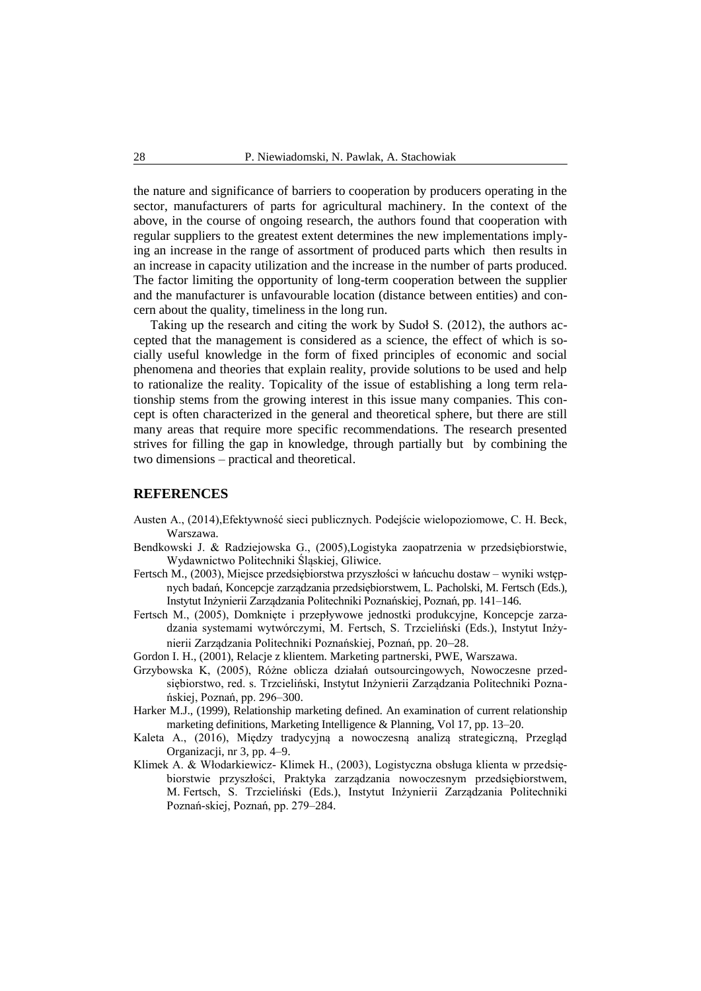the nature and significance of barriers to cooperation by producers operating in the sector, manufacturers of parts for agricultural machinery. In the context of the above, in the course of ongoing research, the authors found that cooperation with regular suppliers to the greatest extent determines the new implementations implying an increase in the range of assortment of produced parts which then results in an increase in capacity utilization and the increase in the number of parts produced. The factor limiting the opportunity of long-term cooperation between the supplier and the manufacturer is unfavourable location (distance between entities) and concern about the quality, timeliness in the long run.

Taking up the research and citing the work by Sudoł S. (2012), the authors accepted that the management is considered as a science, the effect of which is socially useful knowledge in the form of fixed principles of economic and social phenomena and theories that explain reality, provide solutions to be used and help to rationalize the reality. Topicality of the issue of establishing a long term relationship stems from the growing interest in this issue many companies. This concept is often characterized in the general and theoretical sphere, but there are still many areas that require more specific recommendations. The research presented strives for filling the gap in knowledge, through partially but by combining the two dimensions – practical and theoretical.

#### **REFERENCES**

- Austen A., (2014),Efektywność sieci publicznych. Podejście wielopoziomowe, C. H. Beck, Warszawa.
- Bendkowski J. & Radziejowska G., (2005),Logistyka zaopatrzenia w przedsiębiorstwie, Wydawnictwo Politechniki Śląskiej, Gliwice.
- Fertsch M., (2003), Miejsce przedsiębiorstwa przyszłości w łańcuchu dostaw wyniki wstępnych badań, Koncepcje zarządzania przedsiębiorstwem, L. Pacholski, M. Fertsch (Eds.), Instytut Inżynierii Zarządzania Politechniki Poznańskiej, Poznań, pp. 141–146.
- Fertsch M., (2005), Domknięte i przepływowe jednostki produkcyjne, Koncepcje zarzadzania systemami wytwórczymi, M. Fertsch, S. Trzcieliński (Eds.), Instytut Inżynierii Zarządzania Politechniki Poznańskiej, Poznań, pp. 20–28.
- Gordon I. H., (2001), Relacje z klientem. Marketing partnerski, PWE, Warszawa.
- Grzybowska K, (2005), Różne oblicza działań outsourcingowych, Nowoczesne przedsiębiorstwo, red. s. Trzcieliński, Instytut Inżynierii Zarządzania Politechniki Poznańskiej, Poznań, pp. 296–300.
- Harker M.J., (1999), Relationship marketing defined. An examination of current relationship marketing definitions, Marketing Intelligence & Planning, Vol 17, pp. 13–20.
- Kaleta A., (2016), Między tradycyjną a nowoczesną analizą strategiczną, Przegląd Organizacji, nr 3, pp. 4–9.
- Klimek A. & Włodarkiewicz- Klimek H., (2003), Logistyczna obsługa klienta w przedsiębiorstwie przyszłości, Praktyka zarządzania nowoczesnym przedsiębiorstwem, M. Fertsch, S. Trzcieliński (Eds.), Instytut Inżynierii Zarządzania Politechniki Poznań-skiej, Poznań, pp. 279–284.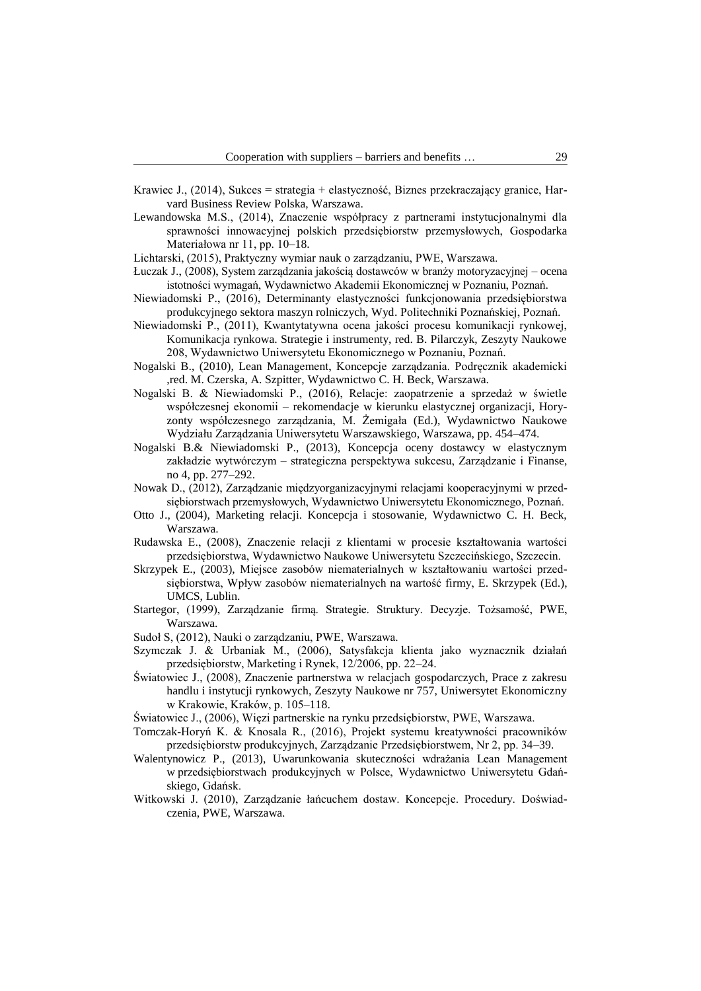- Krawiec J., (2014), Sukces = strategia + elastyczność, Biznes przekraczający granice, Harvard Business Review Polska, Warszawa.
- Lewandowska M.S., (2014), Znaczenie współpracy z partnerami instytucjonalnymi dla sprawności innowacyjnej polskich przedsiębiorstw przemysłowych, Gospodarka Materiałowa nr 11, pp. 10–18.
- Lichtarski, (2015), Praktyczny wymiar nauk o zarządzaniu, PWE, Warszawa.
- Łuczak J., (2008), System zarządzania jakością dostawców w branży motoryzacyjnej ocena istotności wymagań, Wydawnictwo Akademii Ekonomicznej w Poznaniu, Poznań.
- Niewiadomski P., (2016), Determinanty elastyczności funkcjonowania przedsiębiorstwa produkcyjnego sektora maszyn rolniczych, Wyd. Politechniki Poznańskiej, Poznań.
- Niewiadomski P., (2011), Kwantytatywna ocena jakości procesu komunikacji rynkowej, Komunikacja rynkowa. Strategie i instrumenty, red. B. Pilarczyk, Zeszyty Naukowe 208, Wydawnictwo Uniwersytetu Ekonomicznego w Poznaniu, Poznań.
- Nogalski B., (2010), Lean Management, Koncepcje zarządzania. Podręcznik akademicki ,red. M. Czerska, A. Szpitter, Wydawnictwo C. H. Beck, Warszawa.
- Nogalski B. & Niewiadomski P., (2016), Relacje: zaopatrzenie a sprzedaż w świetle współczesnej ekonomii – rekomendacje w kierunku elastycznej organizacji, Horyzonty współczesnego zarządzania, M. Żemigała (Ed.), Wydawnictwo Naukowe Wydziału Zarządzania Uniwersytetu Warszawskiego, Warszawa, pp. 454–474.
- Nogalski B.& Niewiadomski P., (2013), Koncepcja oceny dostawcy w elastycznym zakładzie wytwórczym – strategiczna perspektywa sukcesu, Zarządzanie i Finanse, no 4, pp. 277–292.
- Nowak D., (2012), Zarządzanie międzyorganizacyjnymi relacjami kooperacyjnymi w przedsiębiorstwach przemysłowych, Wydawnictwo Uniwersytetu Ekonomicznego, Poznań.
- Otto J., (2004), Marketing relacji. Koncepcja i stosowanie, Wydawnictwo C. H. Beck, Warszawa.
- Rudawska E., (2008), Znaczenie relacji z klientami w procesie kształtowania wartości przedsiębiorstwa, Wydawnictwo Naukowe Uniwersytetu Szczecińskiego, Szczecin.
- Skrzypek E., (2003), Miejsce zasobów niematerialnych w kształtowaniu wartości przedsiębiorstwa, Wpływ zasobów niematerialnych na wartość firmy, E. Skrzypek (Ed.), UMCS, Lublin.
- Startegor, (1999), Zarządzanie firmą. Strategie. Struktury. Decyzje. Tożsamość, PWE, Warszawa.
- Sudoł S, (2012), Nauki o zarządzaniu, PWE, Warszawa.
- Szymczak J. & Urbaniak M., (2006), Satysfakcja klienta jako wyznacznik działań przedsiębiorstw, Marketing i Rynek, 12/2006, pp. 22–24.
- Światowiec J., (2008), Znaczenie partnerstwa w relacjach gospodarczych, Prace z zakresu handlu i instytucji rynkowych, Zeszyty Naukowe nr 757, Uniwersytet Ekonomiczny w Krakowie, Kraków, p. 105–118.
- Światowiec J., (2006), Więzi partnerskie na rynku przedsiębiorstw, PWE, Warszawa.
- Tomczak-Horyń K. & Knosala R., (2016), Projekt systemu kreatywności pracowników przedsiębiorstw produkcyjnych, Zarządzanie Przedsiębiorstwem, Nr 2, pp. 34–39.
- Walentynowicz P., (2013), Uwarunkowania skuteczności wdrażania Lean Management w przedsiębiorstwach produkcyjnych w Polsce, Wydawnictwo Uniwersytetu Gdańskiego, Gdańsk.
- Witkowski J. (2010), Zarządzanie łańcuchem dostaw. Koncepcje. Procedury. Doświadczenia, PWE, Warszawa.